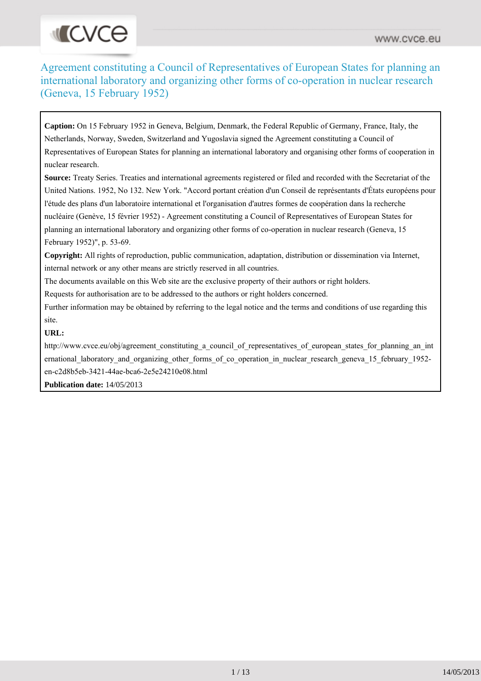# **INCVCE**

Agreement constituting a Council of Representatives of European States for planning an international laboratory and organizing other forms of co-operation in nuclear research (Geneva, 15 February 1952)

**Caption:** On 15 February 1952 in Geneva, Belgium, Denmark, the Federal Republic of Germany, France, Italy, the Netherlands, Norway, Sweden, Switzerland and Yugoslavia signed the Agreement constituting a Council of Representatives of European States for planning an international laboratory and organising other forms of cooperation in nuclear research.

**Source:** Treaty Series. Treaties and international agreements registered or filed and recorded with the Secretariat of the United Nations. 1952, No 132. New York. "Accord portant création d'un Conseil de représentants d'États européens pour l'étude des plans d'un laboratoire international et l'organisation d'autres formes de coopération dans la recherche nucléaire (Genève, 15 février 1952) - Agreement constituting a Council of Representatives of European States for planning an international laboratory and organizing other forms of co-operation in nuclear research (Geneva, 15 February 1952)", p. 53-69.

**Copyright:** All rights of reproduction, public communication, adaptation, distribution or dissemination via Internet, internal network or any other means are strictly reserved in all countries.

The documents available on this Web site are the exclusive property of their authors or right holders.

Requests for authorisation are to be addressed to the authors or right holders concerned.

Further information may be obtained by referring to the legal notice and the terms and conditions of use regarding this site.

#### **URL:**

http://www.cvce.eu/obj/agreement\_constituting\_a\_council\_of\_representatives\_of\_european\_states\_for\_planning\_an\_int ernational\_laboratory\_and\_organizing\_other\_forms\_of\_co\_operation\_in\_nuclear\_research\_geneva\_15\_february\_1952en-c2d8b5eb-3421-44ae-bca6-2e5e24210e08.html

**Publication date:** 14/05/2013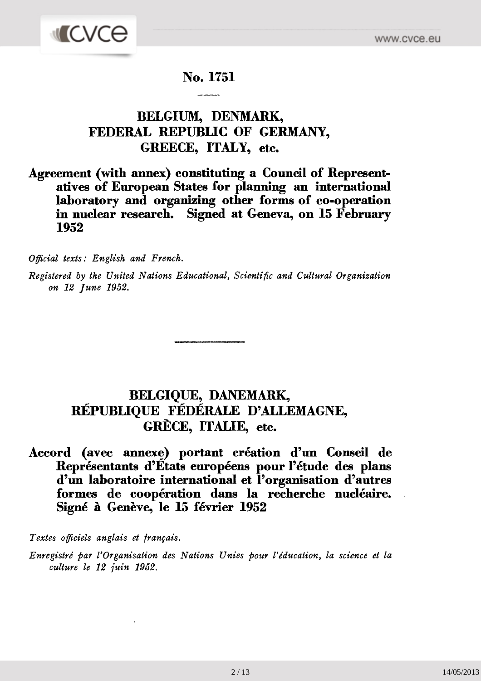

## **No. 1751**

# **BELGIUM, DENMARK, FEDERAL REPUBLIC OF GERMANY, GREECE, ITALY, etc.**

### **Agreement (with annex) constituting a Council of Represent atives of European States for planning an international laboratory and organizing other forms of co-operation in nuclear research. Signed at Geneva, on 15 February 1952**

*Official texts: English and French.*

*Registered by the United Nations Educational, Scientific and Cultural Organization on 12 June 1952.*

# **BELGIQUE, DANEMARK, RÉPUBLIQUE FÉDÉRALE D'ALLEMAGNE, GRÈCE, ITALIE, etc.**

## **Accord (avec annexe) portant création d'un Conseil de Représentants d'États européens pour l'étude des plans d'un laboratoire international et l'organisation d'autres formes de coopération dans la recherche nucléaire. Signé à Genève, le 15 février 1952**

*Textes officiels anglais et français.*

*Enregistré par l'Organisation des Nations Unies pour l'éducation, la science et la culture le 12 juin 1952.*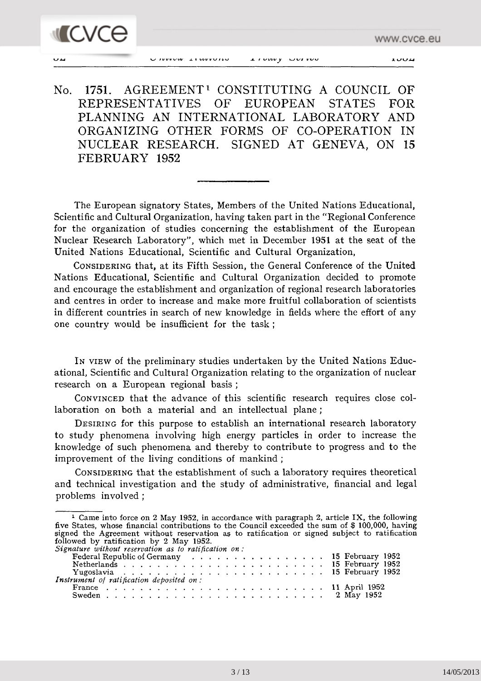

The European signatory States, Members of the United Nations Educational, Scientific and Cultural Organization, having taken part in the "Regional Conference for the organization of studies concerning the establishment of the European Nuclear Research Laboratory", which met in December 1951 at the seat of the United Nations Educational, Scientific and Cultural Organization,

CONSIDERING that, at its Fifth Session, the General Conference of the United Nations Educational, Scientific and Cultural Organization decided to promote and encourage the establishment and organization of regional research laboratories and centres in order to increase and make more fruitful collaboration of scientists in different countries in search of new knowledge in fields where the effort of any one country would be insufficient for the task ;

IN VIEW of the preliminary studies undertaken by the United Nations Educ ational, Scientific and Cultural Organization relating to the organization of nuclear research on a European regional basis ;

CONVINCED that the advance of this scientific research requires close col laboration on both a material and an intellectual plane ;

DESIRING for this purpose to establish an international research laboratory to study phenomena involving high energy particles in order to increase the knowledge of such phenomena and thereby to contribute to progress and to the improvement of the living conditions of mankind ;

CONSIDERING that the establishment of such a laboratory requires theoretical and technical investigation and the study of administrative, financial and legal problems involved ;

<sup>1</sup> Came into force on 2 May 1952, in accordance with paragraph 2, article IX, the following five States, whose financial contributions to the Council exceeded the sum of \$ 100,000, having signed the Agreement without reservation as to ratification or signed subject to ratification followed by ratification by 2 May 1952. *Signature without reservation as to ratification on :* Federal Republic of Germany ................ 15 February 1952

| followed by fathfulled by 2 may 1952.                |  |  |  |  |  |  |  |  |  |
|------------------------------------------------------|--|--|--|--|--|--|--|--|--|
| Signature without reservation as to ratification on: |  |  |  |  |  |  |  |  |  |
| Federal Republic of Germany 15 February 1952         |  |  |  |  |  |  |  |  |  |
|                                                      |  |  |  |  |  |  |  |  |  |
|                                                      |  |  |  |  |  |  |  |  |  |
| Instrument of ratification deposited on:             |  |  |  |  |  |  |  |  |  |
|                                                      |  |  |  |  |  |  |  |  |  |
|                                                      |  |  |  |  |  |  |  |  |  |
|                                                      |  |  |  |  |  |  |  |  |  |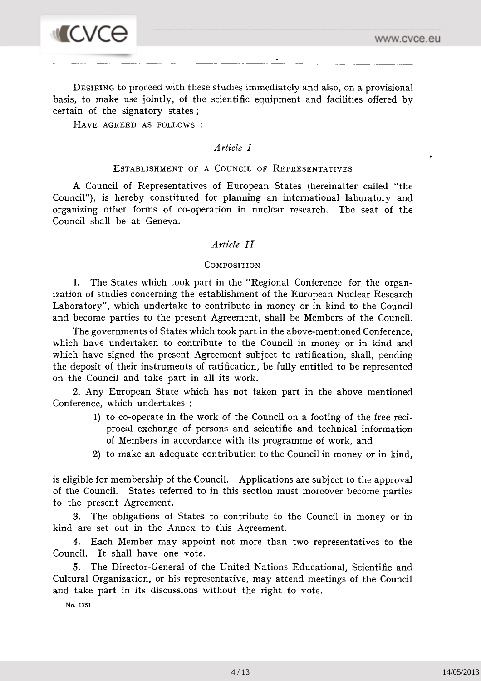

DESIRING to proceed with these studies immediately and also, on a provisional basis, to make use jointly, of the scientific equipment and facilities offered by certain of the signatory states ;

54 *United Nations — Treaty Series* 1952

HAVE AGREED AS FOLLOWS :

#### *Article I*

#### ESTABLISHMENT OF A COUNCIL OF REPRESENTATIVES

A Council of Representatives of European States (hereinafter called "the Council"), is hereby constituted for planning an international laboratory and organizing other forms of co-operation in nuclear research. The seat of the Council shall be at Geneva.

#### *Article II*

#### **COMPOSITION**

1. The States which took part in the "Regional Conference for the organ ization of studies concerning the establishment of the European Nuclear Research Laboratory", which undertake to contribute in money or in kind to the Council and become parties to the present Agreement, shall be Members of the Council.

The governments of States which took part in the above-mentioned Conference, which have undertaken to contribute to the Council in money or in kind and which have signed the present Agreement subject to ratification, shall, pending the deposit of their instruments of ratification, be fully entitled to be represented on the Council and take part in all its work.

2. Any European State which has not taken part in the above mentioned Conference, which undertakes :

- 1) to co-operate in the work of the Council on a footing of the free reci procal exchange of persons and scientific and technical information of Members in accordance with its programme of work, and
- 2) to make an adequate contribution to the Council in money or in kind,

is eligible for membership of the Council. Applications are subject to the approval of the Council. States referred to in this section must moreover become parties to the present Agreement.

3. The obligations of States to contribute to the Council in money or in kind are set out in the Annex to this Agreement.

4. Each Member may appoint not more than two representatives to the Council. It shall have one vote.

5. The Director-General of the United Nations Educational, Scientific and Cultural Organization, or his representative, may attend meetings of the Council and take part in its discussions without the right to vote.

No. 1751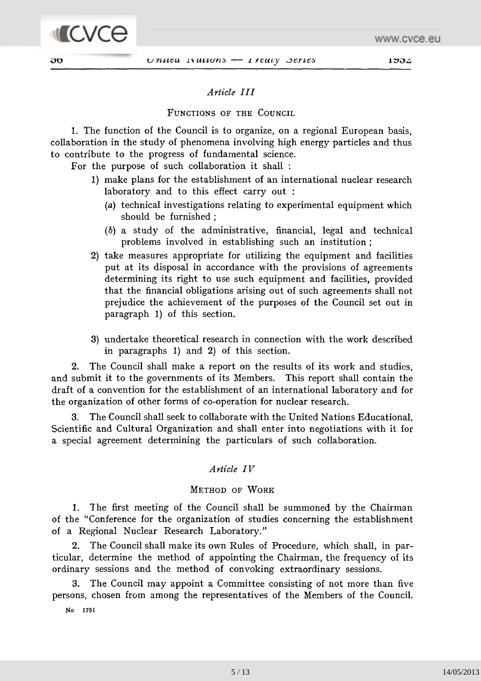

**MICVCO** 

#### *Article III*

#### FUNCTIONS OF THE COUNCIL

1. The function of the Council is to organize, on a regional European basis, collaboration in the study of phenomena involving high energy particles and thus to contribute to the progress of fundamental science.

For the purpose of such collaboration it shall :

- 1) make plans for the establishment of an international nuclear research laboratory and to this effect carry out :
	- *(a)* technical investigations relating to experimental equipment which should be furnished ;
	- *(b)* a study of the administrative, financial, legal and technical problems involved in establishing such an institution ;
- 2) take measures appropriate for utilizing the equipment and facilities put at its disposal in accordance with the provisions of agreements determining its right to use such equipment and facilities, provided that the financial obligations arising out of such agreements shall not prejudice the achievement of the purposes of the Council set out in paragraph 1) of this section.
- 3) undertake theoretical research in connection with the work described in paragraphs 1) and 2) of this section.

2. The Council shall make a report on the results of its work and studies, and submit it to the governments of its Members. This report shall contain the draft of a convention for the establishment of an international laboratory and for the organization of other forms of co-operation for nuclear research.

3. The Council shall seek to collaborate with the United Nations Educational, Scientific and Cultural Organization and shall enter into negotiations with it for a special agreement determining the particulars of such collaboration.

#### *Article IV*

#### METHOD OF WORK

1. The first meeting of the Council shall be summoned by the Chairman of the "Conference for the organization of studies concerning the establishment of a Regional Nuclear Research Laboratory."

2. The Council shall make its own Rules of Procedure, which shall, in par ticular, determine the method of appointing the Chairman, the frequency of its ordinary sessions and the method of convoking extraordinary sessions.

3. The Council may appoint a Committee consisting of not more than five persons, chosen from among the representatives of the Members of the Council.

No 1751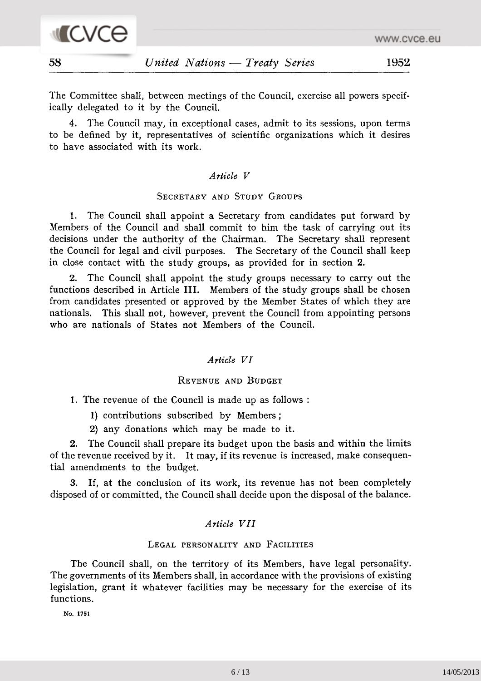

The Committee shall, between meetings of the Council, exercise all powers specif ically delegated to it by the Council.

4. The Council may, in exceptional cases, admit to its sessions, upon terms to be defined by it, representatives of scientific organizations which it desires to have associated with its work.

#### *Article V*

#### SECRETARY AND STUDY GROUPS

1. The Council shall appoint a Secretary from candidates put forward by Members of the Council and shall commit to him the task of carrying out its decisions under the authority of the Chairman. The Secretary shall represent the Council for legal and civil purposes. The Secretary of the Council shall keep in close contact with the study groups, as provided for in section 2.

2. The Council shall appoint the study groups necessary to carry out the functions described in Article III. Members of the study groups shall be chosen from candidates presented or approved by the Member States of which they are nationals. This shall not, however, prevent the Council from appointing persons who are nationals of States not Members of the Council.

#### *Article VI*

#### REVENUE AND BUDGET

1. The revenue of the Council is made up as follows :

- 1) contributions subscribed by Members ;
- 2) any donations which may be made to it.

2. The Council shall prepare its budget upon the basis and within the limits of the revenue received by it. It may, if its revenue is increased, make consequen tial amendments to the budget.

3. If, at the conclusion of its work, its revenue has not been completely disposed of or committed, the Council shall decide upon the disposal of the balance.

#### *Article VII*

#### LEGAL PERSONALITY AND FACILITIES

The Council shall, on the territory of its Members, have legal personality. The governments of its Members shall, in accordance with the provisions of existing legislation, grant it whatever facilities may be necessary for the exercise of its functions.

**Ko. 1751**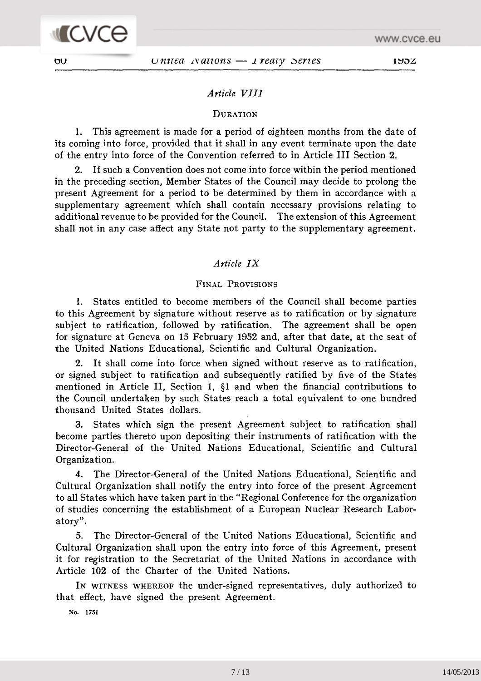#### *Article VIII*

#### **DURATION**

1. This agreement is made for a period of eighteen months from the date of its coming into force, provided that it shall in any event terminate upon the date of the entry into force of the Convention referred to in Article III Section 2.

2. If such a Convention does not come into force within the period mentioned in the preceding section, Member States of the Council may decide to prolong the present Agreement for a period to be determined by them in accordance with a supplementary agreement which shall contain necessary provisions relating to additional revenue to be provided for the Council. The extension of this Agreement shall not in any case affect any State not party to the supplementary agreement.

#### *Article IX*

#### FINAL PROVISIONS

1. States entitled to become members of the Council shall become parties to this Agreement by signature without reserve as to ratification or by signature subject to ratification, followed by ratification. The agreement shall be open for signature at Geneva on 15 February 1952 and, after that date, at the seat of the United Nations Educational, Scientific and Cultural Organization.

2. It shall come into force when signed without reserve as to ratification, or signed subject to ratification and subsequently ratified by five of the States mentioned in Article II, Section 1, §1 and when the financial contributions to the Council undertaken by such States reach a total equivalent to one hundred thousand United States dollars.

3. States which sign the present Agreement subject to ratification shall become parties thereto upon depositing their instruments of ratification with the Director-General of the United Nations Educational, Scientific and Cultural Organization.

4. The Director-General of the United Nations Educational, Scientific and Cultural Organization shall notify the entry into force of the present Agreement to all States which have taken part in the "Regional Conference for the organization of studies concerning the establishment of a European Nuclear Research Labor atory".

5. The Director-General of the United Nations Educational, Scientific and Cultural Organization shall upon the entry into force of this Agreement, present it for registration to the Secretariat of the United Nations in accordance with Article 102 of the Charter of the United Nations.

IN WITNESS WHEREOF the under-signed representatives, duly authorized to that effect, have signed the present Agreement.

**No. 1751**

7 / 13 14/05/2013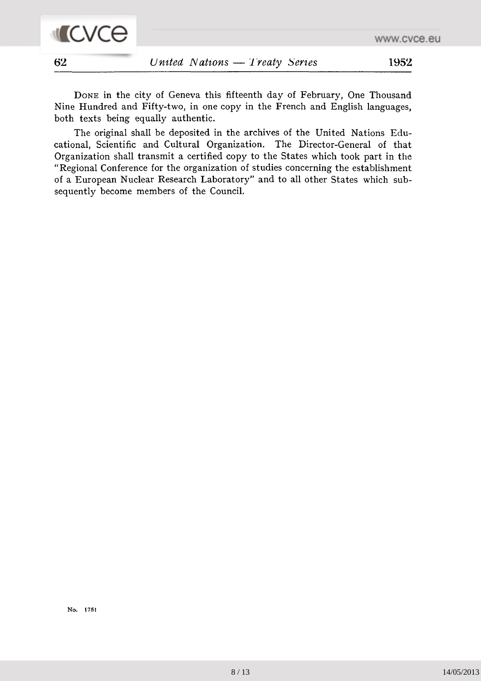



DONE in the city of Geneva this fifteenth day of February, One Thousand Nine Hundred and Fifty-two, in one copy in the French and English languages, both texts being equally authentic.

The original shall be deposited in the archives of the United Nations Edu cational, Scientific and Cultural Organization. The Director-General of that Organization shall transmit a certified copy to the States which took part in the "Regional Conference for the organization of studies concerning the establishment of a European Nuclear Research Laboratory" and to all other States which sub sequently become members of the Council.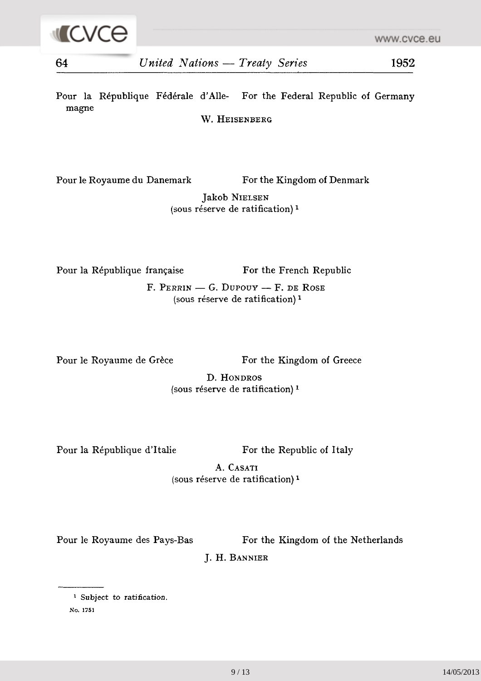Pour la République Fédérale d'Allé- For the Federal Republic of Germany magne

W. HEISENBERG

Pour le Royaume du Danemark For the Kingdom of Denmark

Jakob NIELSEN (sous réserve de ratification) <sup>1</sup>

Pour la République française For the French Republic

F. PERRIN — G. DUPOUY — F. DE ROSE (sous réserve de ratification) <sup>1</sup>

Pour le Royaume de Grèce For the Kingdom of Greece

D. HONDROS (sous réserve de ratification) <sup>1</sup>

Pour la République d'Italie For the Republic of Italy

A. CASATI (sous réserve de ratification) *l*

Pour le Royaume des Pays-Bas For the Kingdom of the Netherlands

J. H. BANNIER

No. 1751

<sup>&</sup>lt;sup>1</sup> Subject to ratification.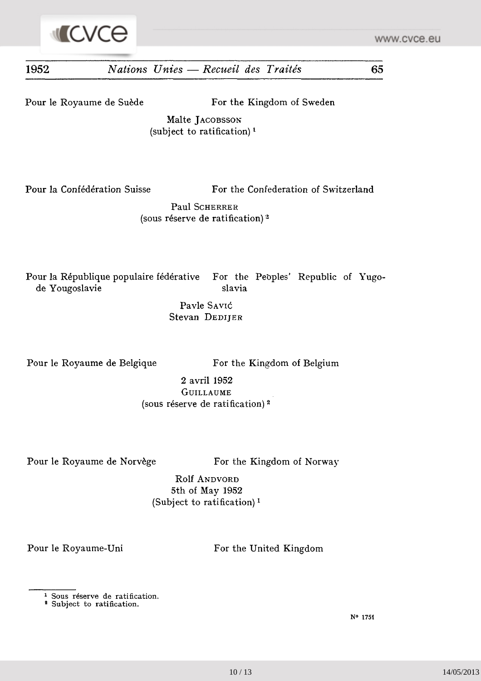

# **1952** *Nations Unies — Recueil des Traités* 65 Pour le Royaume de Suède For the Kingdom of Sweden Malte JACOBSSON (subject to ratification)<sup>1</sup> Pour la Confédération Suisse For the Confederation of Switzerland **Paul** SCHERRER (sous réserve de ratification) *'\**

Pour la République populaire fédérative For the Peoples' Republic of Yugode Yougoslavie slavia

> Pavle Savić Stevan DEDIJER

Pour le Royaume de Belgique For the Kingdom of Belgium

2 avril 1952 GUILLAUME (sous réserve de ratification) 2

Pour le Royaume de Norvège For the Kingdom of Norway

Rolf ANDVORD 5th of May 1952 (Subject to ratification)<sup>1</sup>

Pour le Royaume-Uni For the United Kingdom

N° 1751

<sup>1</sup> Sous réserve de ratification.

<sup>&</sup>lt;sup>2</sup> Subject to ratification.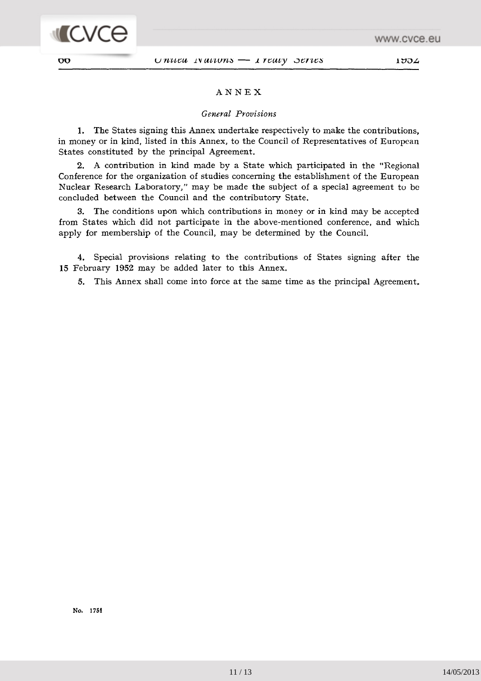

#### ANNEX

#### *General Provisions*

1. The States signing this Annex undertake respectively to make the contributions, in money or in kind, listed in this Annex, to the Council of Representatives of European States constituted by the principal Agreement.

2. A contribution in kind made by a State which participated in the "Regional Conference for the organization of studies concerning the establishment of the European Nuclear Research Laboratory," may be made the subject of a special agreement to be concluded between the Council and the contributory State.

3. The conditions upon which contributions in money or in kind may be accepted from States which did not participate in the above-mentioned conference, and which apply for membership of the Council, may be determined by the Council.

4. Special provisions relating to the contributions of States signing after the 15 February 1952 may be added later to this Annex.

5. This Annex shall come into force at the same time as the principal Agreement.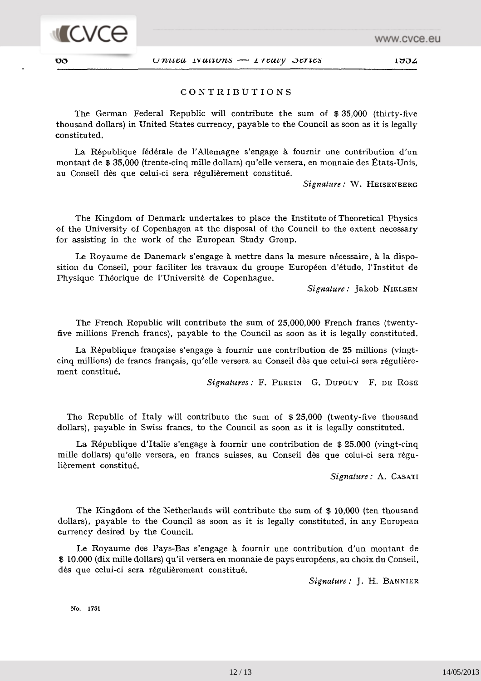

#### CONTRIBUTIONS

The German Federal Republic will contribute the sum of \$ 35,000 (thirty-five thousand dollars) in United States currency, payable to the Council as soon as it is legally constituted.

La République fédérale de l'Allemagne s'engage à fournir une contribution d'un montant de \$ 35,000 (trente-cinq mille dollars) qu'elle versera, en monnaie des États-Unis, au Conseil dès que celui-ci sera régulièrement constitué.

*Signature :* W. HEISENBERG

The Kingdom of Denmark undertakes to place the Institute of Theoretical Physics of the University of Copenhagen at the disposal of the Council to the extent necessary for assisting in the work of the European Study Group.

Le Royaume de Danemark s'engage à mettre dans la mesure nécessaire, à la dispo sition du Conseil, pour faciliter les travaux du groupe Européen d'étude, l'Institut de Physique Théorique de l'Université de Copenhague.

*Signature :* Jakob NIELSEN

The French Republic will contribute the sum of 25,000,000 French francs (twentyfive millions French francs), payable to the Council as soon as it is legally constituted.

La République française s'engage à fournir une contribution de 25 millions (vingtcinq millions) de francs français, qu'elle versera au Conseil dès que celui-ci sera régulière ment constitué.

*Signatures :* F. PERRIN G. DUPOUY F, DE ROSE

The Republic of Italy will contribute the sum of \$ 25,000 (twenty-five thousand dollars), payable in Swiss francs, to the Council as soon as it is legally constituted.

La République d'Italie s'engage à fournir une contribution de \$ 25.000 (vingt-cinq mille dollars) qu'elle versera, en francs suisses, au Conseil dès que celui-ci sera régu lièrement constitué.

*Signature :* A. CASATI

The Kingdom of the Netherlands will contribute the sum of \$ 10,000 (ten thousand dollars), payable to the Council as soon as it is legally constituted, in any European currency desired by the Council.

Le Royaume des Pays-Bas s'engage à fournir une contribution d'un montant de f 10.000 (dix mille dollars) qu'il versera en monnaie de pays européens, au choix du Conseil, dès que celui-ci sera régulièrement constitué.

*Signature:* J. H. BANNIER

**No. 1751**